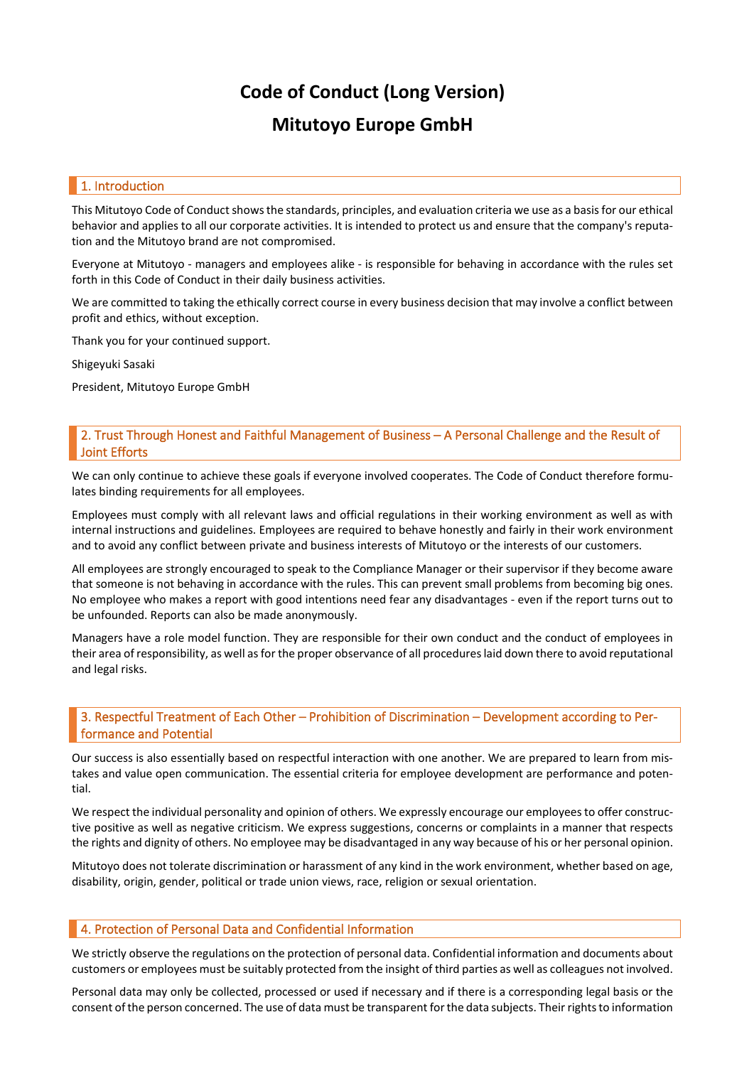# **Code of Conduct (Long Version)**

## **Mitutoyo Europe GmbH**

#### 1. Introduction

This Mitutoyo Code of Conduct shows the standards, principles, and evaluation criteria we use as a basis for our ethical behavior and applies to all our corporate activities. It is intended to protect us and ensure that the company's reputation and the Mitutoyo brand are not compromised.

Everyone at Mitutoyo - managers and employees alike - is responsible for behaving in accordance with the rules set forth in this Code of Conduct in their daily business activities.

We are committed to taking the ethically correct course in every business decision that may involve a conflict between profit and ethics, without exception.

Thank you for your continued support.

Shigeyuki Sasaki

President, Mitutoyo Europe GmbH

### 2. Trust Through Honest and Faithful Management of Business – A Personal Challenge and the Result of Joint Efforts

We can only continue to achieve these goals if everyone involved cooperates. The Code of Conduct therefore formulates binding requirements for all employees.

Employees must comply with all relevant laws and official regulations in their working environment as well as with internal instructions and guidelines. Employees are required to behave honestly and fairly in their work environment and to avoid any conflict between private and business interests of Mitutoyo or the interests of our customers.

All employees are strongly encouraged to speak to the Compliance Manager or their supervisor if they become aware that someone is not behaving in accordance with the rules. This can prevent small problems from becoming big ones. No employee who makes a report with good intentions need fear any disadvantages - even if the report turns out to be unfounded. Reports can also be made anonymously.

Managers have a role model function. They are responsible for their own conduct and the conduct of employees in their area of responsibility, as well as for the proper observance of all procedures laid down there to avoid reputational and legal risks.

## 3. Respectful Treatment of Each Other – Prohibition of Discrimination – Development according to Performance and Potential

Our success is also essentially based on respectful interaction with one another. We are prepared to learn from mistakes and value open communication. The essential criteria for employee development are performance and potential.

We respect the individual personality and opinion of others. We expressly encourage our employees to offer constructive positive as well as negative criticism. We express suggestions, concerns or complaints in a manner that respects the rights and dignity of others. No employee may be disadvantaged in any way because of his or her personal opinion.

Mitutoyo does not tolerate discrimination or harassment of any kind in the work environment, whether based on age, disability, origin, gender, political or trade union views, race, religion or sexual orientation.

## **4. Protection of Personal Data and Confidential Information**

We strictly observe the regulations on the protection of personal data. Confidential information and documents about customers or employees must be suitably protected from the insight of third parties as well as colleagues not involved.

Personal data may only be collected, processed or used if necessary and if there is a corresponding legal basis or the consent of the person concerned. The use of data must be transparent for the data subjects. Their rights to information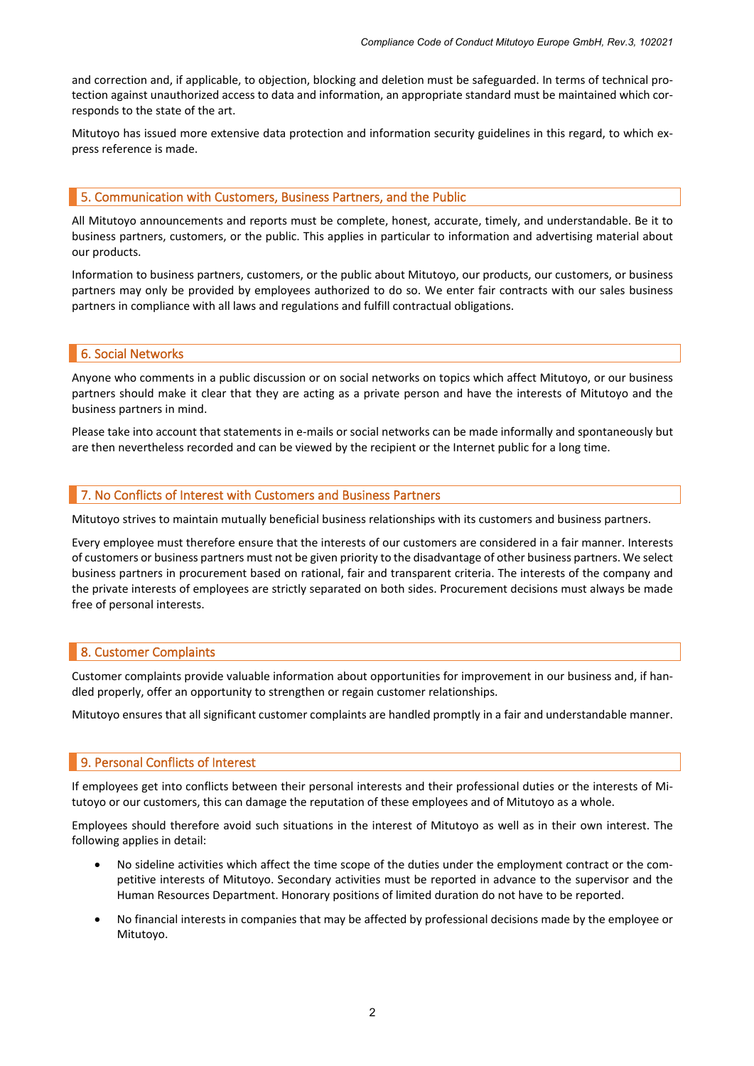and correction and, if applicable, to objection, blocking and deletion must be safeguarded. In terms of technical protection against unauthorized access to data and information, an appropriate standard must be maintained which corresponds to the state of the art.

Mitutoyo has issued more extensive data protection and information security guidelines in this regard, to which express reference is made.

### 5. Communication with Customers, Business Partners, and the Public

All Mitutoyo announcements and reports must be complete, honest, accurate, timely, and understandable. Be it to business partners, customers, or the public. This applies in particular to information and advertising material about our products.

Information to business partners, customers, or the public about Mitutoyo, our products, our customers, or business partners may only be provided by employees authorized to do so. We enter fair contracts with our sales business partners in compliance with all laws and regulations and fulfill contractual obligations.

#### 6. Social Networks

Anyone who comments in a public discussion or on social networks on topics which affect Mitutoyo, or our business partners should make it clear that they are acting as a private person and have the interests of Mitutoyo and the business partners in mind.

Please take into account that statements in e-mails or social networks can be made informally and spontaneously but are then nevertheless recorded and can be viewed by the recipient or the Internet public for a long time.

#### 7. No Conflicts of Interest with Customers and Business Partners

Mitutoyo strives to maintain mutually beneficial business relationships with its customers and business partners.

Every employee must therefore ensure that the interests of our customers are considered in a fair manner. Interests of customers or business partners must not be given priority to the disadvantage of other business partners. We select business partners in procurement based on rational, fair and transparent criteria. The interests of the company and the private interests of employees are strictly separated on both sides. Procurement decisions must always be made free of personal interests.

## 8. Customer Complaints

Customer complaints provide valuable information about opportunities for improvement in our business and, if handled properly, offer an opportunity to strengthen or regain customer relationships.

Mitutoyo ensures that all significant customer complaints are handled promptly in a fair and understandable manner.

## 9. Personal Conflicts of Interest

If employees get into conflicts between their personal interests and their professional duties or the interests of Mitutoyo or our customers, this can damage the reputation of these employees and of Mitutoyo as a whole.

Employees should therefore avoid such situations in the interest of Mitutoyo as well as in their own interest. The following applies in detail:

- No sideline activities which affect the time scope of the duties under the employment contract or the competitive interests of Mitutoyo. Secondary activities must be reported in advance to the supervisor and the Human Resources Department. Honorary positions of limited duration do not have to be reported.
- No financial interests in companies that may be affected by professional decisions made by the employee or Mitutoyo.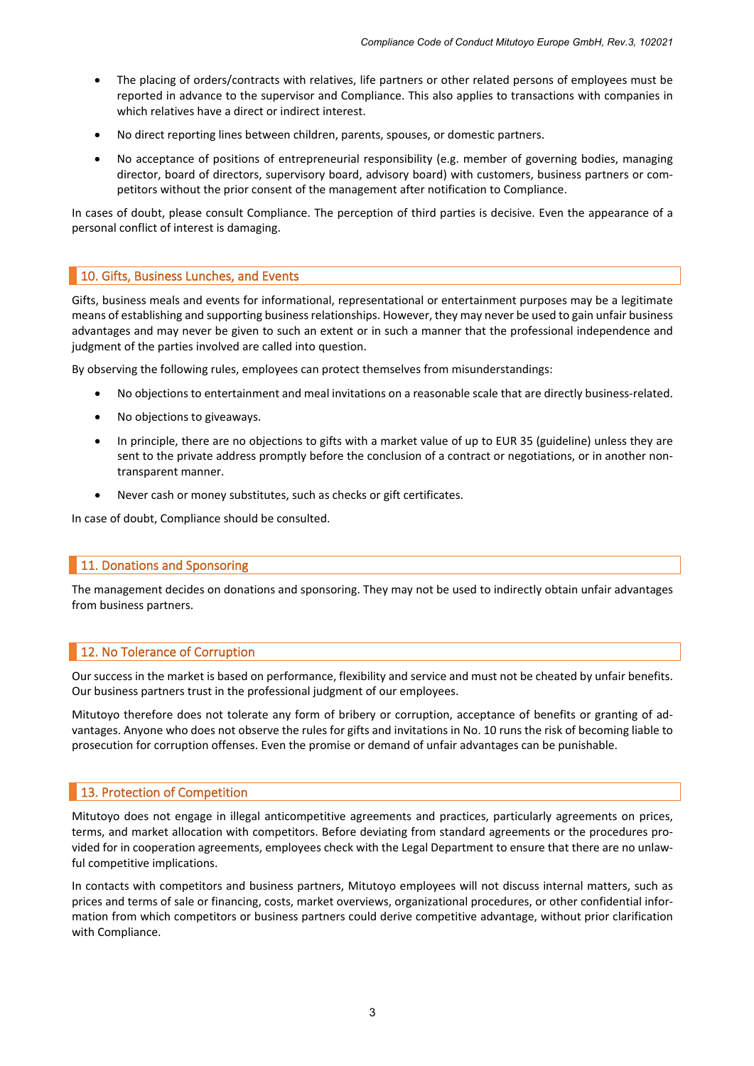- The placing of orders/contracts with relatives, life partners or other related persons of employees must be reported in advance to the supervisor and Compliance. This also applies to transactions with companies in which relatives have a direct or indirect interest.
- No direct reporting lines between children, parents, spouses, or domestic partners.
- No acceptance of positions of entrepreneurial responsibility (e.g. member of governing bodies, managing director, board of directors, supervisory board, advisory board) with customers, business partners or competitors without the prior consent of the management after notification to Compliance.

In cases of doubt, please consult Compliance. The perception of third parties is decisive. Even the appearance of a personal conflict of interest is damaging.

## 10. Gifts, Business Lunches, and Events

Gifts, business meals and events for informational, representational or entertainment purposes may be a legitimate means of establishing and supporting business relationships. However, they may never be used to gain unfair business advantages and may never be given to such an extent or in such a manner that the professional independence and judgment of the parties involved are called into question.

By observing the following rules, employees can protect themselves from misunderstandings:

- No objections to entertainment and meal invitations on a reasonable scale that are directly business-related.
- No objections to giveaways.
- In principle, there are no objections to gifts with a market value of up to EUR 35 (guideline) unless they are sent to the private address promptly before the conclusion of a contract or negotiations, or in another nontransparent manner.
- Never cash or money substitutes, such as checks or gift certificates.

In case of doubt, Compliance should be consulted.

#### **11. Donations and Sponsoring**

The management decides on donations and sponsoring. They may not be used to indirectly obtain unfair advantages from business partners.

## 12. No Tolerance of Corruption

Our success in the market is based on performance, flexibility and service and must not be cheated by unfair benefits. Our business partners trust in the professional judgment of our employees.

Mitutoyo therefore does not tolerate any form of bribery or corruption, acceptance of benefits or granting of advantages. Anyone who does not observe the rules for gifts and invitations in No. 10 runs the risk of becoming liable to prosecution for corruption offenses. Even the promise or demand of unfair advantages can be punishable.

#### **13. Protection of Competition**

Mitutoyo does not engage in illegal anticompetitive agreements and practices, particularly agreements on prices, terms, and market allocation with competitors. Before deviating from standard agreements or the procedures provided for in cooperation agreements, employees check with the Legal Department to ensure that there are no unlawful competitive implications.

In contacts with competitors and business partners, Mitutoyo employees will not discuss internal matters, such as prices and terms of sale or financing, costs, market overviews, organizational procedures, or other confidential information from which competitors or business partners could derive competitive advantage, without prior clarification with Compliance.